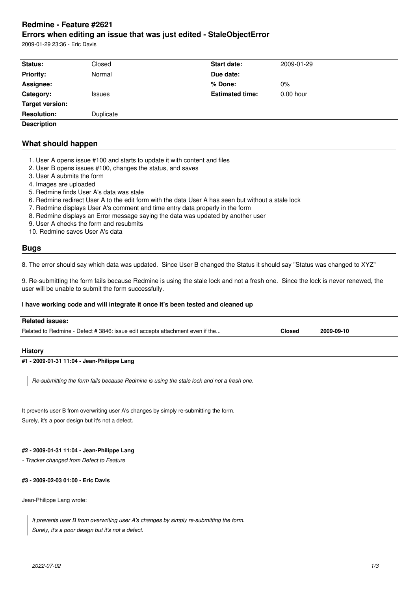# **Redmine - Feature #2621 Errors when editing an issue that was just edited - StaleObjectError**

2009-01-29 23:36 - Eric Davis

| Status:                                              | Closed                                                                                                                                                                                                                                                                                                                                                                                                                                                          | Start date:            | 2009-01-29                                                                                                                        |
|------------------------------------------------------|-----------------------------------------------------------------------------------------------------------------------------------------------------------------------------------------------------------------------------------------------------------------------------------------------------------------------------------------------------------------------------------------------------------------------------------------------------------------|------------------------|-----------------------------------------------------------------------------------------------------------------------------------|
| <b>Priority:</b>                                     | Normal                                                                                                                                                                                                                                                                                                                                                                                                                                                          | Due date:              |                                                                                                                                   |
| Assignee:                                            |                                                                                                                                                                                                                                                                                                                                                                                                                                                                 | % Done:                | 0%                                                                                                                                |
| Category:                                            | <b>Issues</b>                                                                                                                                                                                                                                                                                                                                                                                                                                                   | <b>Estimated time:</b> | $0.00$ hour                                                                                                                       |
| <b>Target version:</b>                               |                                                                                                                                                                                                                                                                                                                                                                                                                                                                 |                        |                                                                                                                                   |
| <b>Resolution:</b>                                   | Duplicate                                                                                                                                                                                                                                                                                                                                                                                                                                                       |                        |                                                                                                                                   |
| <b>Description</b>                                   |                                                                                                                                                                                                                                                                                                                                                                                                                                                                 |                        |                                                                                                                                   |
| What should happen                                   | 1. User A opens issue #100 and starts to update it with content and files                                                                                                                                                                                                                                                                                                                                                                                       |                        |                                                                                                                                   |
| 3. User A submits the form<br>4. Images are uploaded | 2. User B opens issues #100, changes the status, and saves<br>5. Redmine finds User A's data was stale<br>6. Redmine redirect User A to the edit form with the data User A has seen but without a stale lock<br>7. Redmine displays User A's comment and time entry data properly in the form<br>8. Redmine displays an Error message saying the data was updated by another user<br>9. User A checks the form and resubmits<br>10. Redmine saves User A's data |                        |                                                                                                                                   |
| <b>Bugs</b>                                          |                                                                                                                                                                                                                                                                                                                                                                                                                                                                 |                        |                                                                                                                                   |
|                                                      |                                                                                                                                                                                                                                                                                                                                                                                                                                                                 |                        | 8. The error should say which data was updated. Since User B changed the Status it should say "Status was changed to XYZ"         |
|                                                      | user will be unable to submit the form successfully.                                                                                                                                                                                                                                                                                                                                                                                                            |                        | 9. Re-submitting the form fails because Redmine is using the stale lock and not a fresh one. Since the lock is never renewed, the |
|                                                      | I have working code and will integrate it once it's been tested and cleaned up                                                                                                                                                                                                                                                                                                                                                                                  |                        |                                                                                                                                   |
| <b>Related issues:</b>                               |                                                                                                                                                                                                                                                                                                                                                                                                                                                                 |                        |                                                                                                                                   |
|                                                      | Related to Redmine - Defect # 3846: issue edit accepts attachment even if the                                                                                                                                                                                                                                                                                                                                                                                   |                        | <b>Closed</b><br>2009-09-10                                                                                                       |
| <b>History</b>                                       |                                                                                                                                                                                                                                                                                                                                                                                                                                                                 |                        |                                                                                                                                   |

# **#1 - 2009-01-31 11:04 - Jean-Philippe Lang**

*Re-submitting the form fails because Redmine is using the stale lock and not a fresh one.*

It prevents user B from overwriting user A's changes by simply re-submitting the form. Surely, it's a poor design but it's not a defect.

# **#2 - 2009-01-31 11:04 - Jean-Philippe Lang**

*- Tracker changed from Defect to Feature*

### **#3 - 2009-02-03 01:00 - Eric Davis**

Jean-Philippe Lang wrote:

*It prevents user B from overwriting user A's changes by simply re-submitting the form. Surely, it's a poor design but it's not a defect.*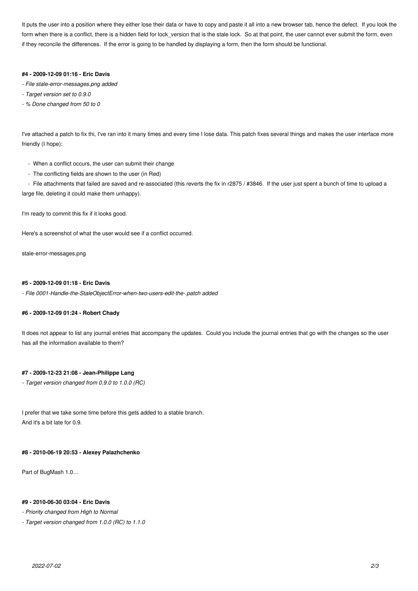It puts the user into a position where they either lose their data or have to copy and paste it all into a new browser tab, hence the defect. If you look the form when there is a conflict, there is a hidden field for lock\_version that is the stale lock. So at that point, the user cannot ever submit the form, even if they reconcile the differences. If the error is going to be handled by displaying a form, then the form should be functional.

### **#4 - 2009-12-09 01:16 - Eric Davis**

- *File stale-error-messages.png added*
- *Target version set to 0.9.0*
- *% Done changed from 50 to 0*

I've attached a patch to fix thi, I've ran into it many times and every time I lose data. This patch fixes several things and makes the user interface more friendly (I hope):

- When a conflict occurs, the user can submit their change
- The conflicting fields are shown to the user (in Red)

- File attachments that failed are saved and re-associated (this reverts the fix in r2875 / #3846. If the user just spent a bunch of time to upload a large file, deleting it could make them unhappy).

I'm ready to commit this fix if it looks good.

Here's a screenshot of what the user would see if a conflict occurred.

stale-error-messages.png

### **#5 - 2009-12-09 01:18 - Eric Davis**

*- File 0001-Handle-the-StaleObjectError-when-two-users-edit-the-.patch added*

### **#6 - 2009-12-09 01:24 - Robert Chady**

It does not appear to list any journal entries that accompany the updates. Could you include the journal entries that go with the changes so the user has all the information available to them?

# **#7 - 2009-12-23 21:08 - Jean-Philippe Lang**

*- Target version changed from 0.9.0 to 1.0.0 (RC)*

I prefer that we take some time before this gets added to a stable branch. And it's a bit late for 0.9.

#### **#8 - 2010-06-19 20:53 - Alexey Palazhchenko**

Part of BugMash 1.0…

#### **#9 - 2010-06-30 03:04 - Eric Davis**

*- Priority changed from High to Normal*

*- Target version changed from 1.0.0 (RC) to 1.1.0*